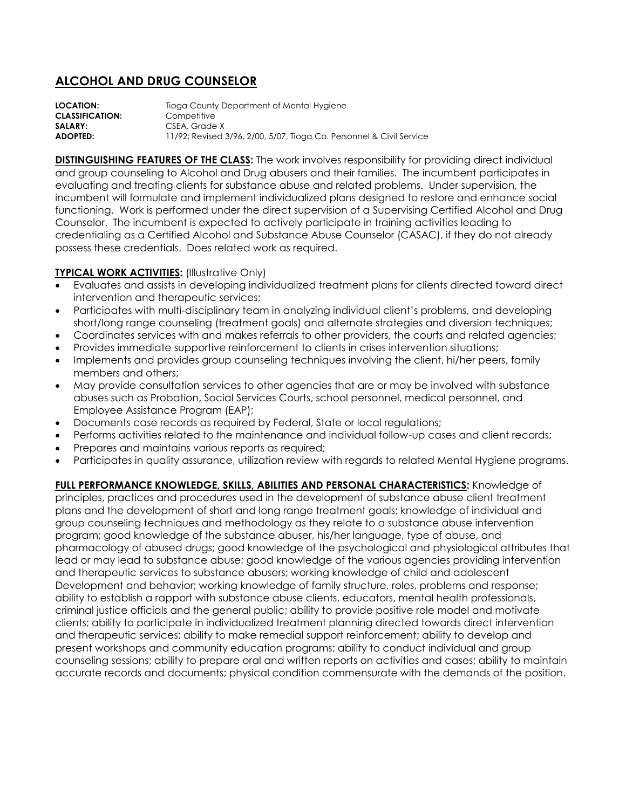## **ALCOHOL AND DRUG COUNSELOR**

**LOCATION:** Tioga County Department of Mental Hygiene **CLASSIFICATION:** Competitive SALARY: CSEA, Grade X **ADOPTED:** 11/92; Revised 3/96, 2/00, 5/07, Tioga Co. Personnel & Civil Service

**DISTINGUISHING FEATURES OF THE CLASS:** The work involves responsibility for providing direct individual and group counseling to Alcohol and Drug abusers and their families. The incumbent participates in evaluating and treating clients for substance abuse and related problems. Under supervision, the incumbent will formulate and implement individualized plans designed to restore and enhance social functioning. Work is performed under the direct supervision of a Supervising Certified Alcohol and Drug Counselor. The incumbent is expected to actively participate in training activities leading to credentialing as a Certified Alcohol and Substance Abuse Counselor (CASAC), if they do not already possess these credentials. Does related work as required.

## **TYPICAL WORK ACTIVITIES:** (Illustrative Only)

- Evaluates and assists in developing individualized treatment plans for clients directed toward direct intervention and therapeutic services;
- Participates with multi-disciplinary team in analyzing individual client's problems, and developing short/long range counseling (treatment goals) and alternate strategies and diversion techniques;
- Coordinates services with and makes referrals to other providers, the courts and related agencies;
- Provides immediate supportive reinforcement to clients in crises intervention situations;
- Implements and provides group counseling techniques involving the client, hi/her peers, family members and others;
- May provide consultation services to other agencies that are or may be involved with substance abuses such as Probation, Social Services Courts, school personnel, medical personnel, and Employee Assistance Program (EAP);
- Documents case records as required by Federal, State or local regulations;
- Performs activities related to the maintenance and individual follow-up cases and client records;
- Prepares and maintains various reports as required;
- Participates in quality assurance, utilization review with regards to related Mental Hygiene programs.

**FULL PERFORMANCE KNOWLEDGE, SKILLS, ABILITIES AND PERSONAL CHARACTERISTICS:** Knowledge of principles, practices and procedures used in the development of substance abuse client treatment plans and the development of short and long range treatment goals; knowledge of individual and group counseling techniques and methodology as they relate to a substance abuse intervention program; good knowledge of the substance abuser, his/her language, type of abuse, and pharmacology of abused drugs; good knowledge of the psychological and physiological attributes that lead or may lead to substance abuse; good knowledge of the various agencies providing intervention and therapeutic services to substance abusers; working knowledge of child and adolescent Development and behavior; working knowledge of family structure, roles, problems and response; ability to establish a rapport with substance abuse clients, educators, mental health professionals, criminal justice officials and the general public; ability to provide positive role model and motivate clients; ability to participate in individualized treatment planning directed towards direct intervention and therapeutic services; ability to make remedial support reinforcement; ability to develop and present workshops and community education programs; ability to conduct individual and group counseling sessions; ability to prepare oral and written reports on activities and cases; ability to maintain accurate records and documents; physical condition commensurate with the demands of the position.